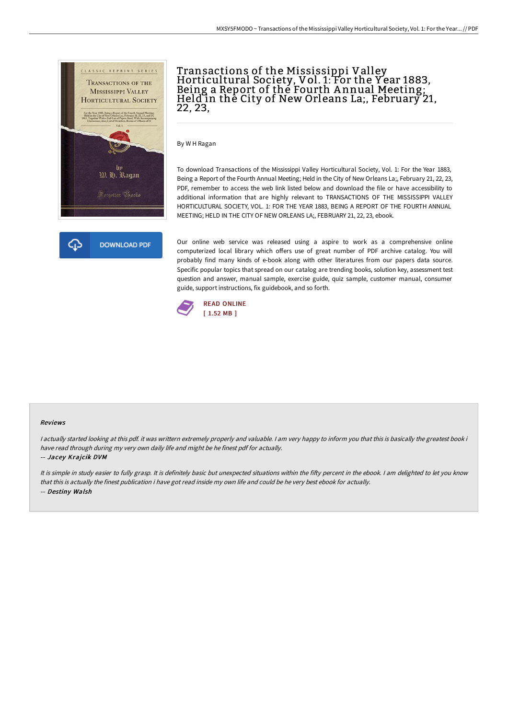



# Transactions of the Mississippi Valley<br>Horticultural Society, Vol. 1: For the Year 1883, Being a Report of the Fourth A nnual Meeting; Held in the City of New Orleans La;, February 21, 22, 23,

By W H Ragan

To download Transactions of the Mississippi Valley Horticultural Society, Vol. 1: For the Year 1883, Being a Report of the Fourth Annual Meeting; Held in the City of New Orleans La;, February 21, 22, 23, PDF, remember to access the web link listed below and download the file or have accessibility to additional information that are highly relevant to TRANSACTIONS OF THE MISSISSIPPI VALLEY HORTICULTURAL SOCIETY, VOL. 1: FOR THE YEAR 1883, BEING A REPORT OF THE FOURTH ANNUAL MEETING; HELD IN THE CITY OF NEW ORLEANS LA;, FEBRUARY 21, 22, 23, ebook.

Our online web service was released using a aspire to work as a comprehensive online computerized local library which offers use of great number of PDF archive catalog. You will probably find many kinds of e-book along with other literatures from our papers data source. Specific popular topics that spread on our catalog are trending books, solution key, assessment test question and answer, manual sample, exercise guide, quiz sample, customer manual, consumer guide, support instructions, fix guidebook, and so forth.



#### Reviews

<sup>I</sup> actually started looking at this pdf. it was writtern extremely properly and valuable. <sup>I</sup> am very happy to inform you that this is basically the greatest book i have read through during my very own daily life and might be he finest pdf for actually. -- Jacey Krajcik DVM

It is simple in study easier to fully grasp. It is definitely basic but unexpected situations within the fifty percent in the ebook. I am delighted to let you know that this is actually the finest publication i have got read inside my own life and could be he very best ebook for actually. -- Destiny Walsh